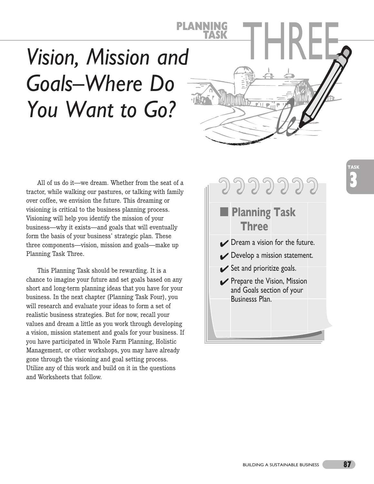# *Vision, Mission and Goals–Where Do You Want to Go?*



All of us do it—we dream. Whether from the seat of a tractor, while walking our pastures, or talking with family over coffee, we envision the future. This dreaming or visioning is critical to the business planning process. Visioning will help you identify the mission of your business—why it exists—and goals that will eventually form the basis of your business' strategic plan. These three components—vision, mission and goals—make up Planning Task Three.

This Planning Task should be rewarding. It is a chance to imagine your future and set goals based on any short and long-term planning ideas that you have for your business. In the next chapter (Planning Task Four), you will research and evaluate your ideas to form a set of realistic business strategies. But for now, recall your values and dream a little as you work through developing a vision, mission statement and goals for your business. If you have participated in Whole Farm Planning, Holistic Management, or other workshops, you may have already gone through the visioning and goal setting process. Utilize any of this work and build on it in the questions and Worksheets that follow.



**3**

**TASK**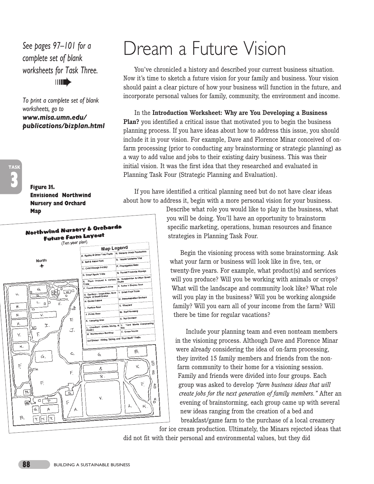*See pages 97–101 for a complete set of blank worksheets for Task Three.* ➠

*To print a complete set of blank worksheets, go to www.misa.umn.edu/ publications/bizplan.html*

**3 TASK**

**Figure 31. Envisioned Northwind Nursery and Orchard Map**



## Dream a Future Vision

You've chronicled a history and described your current business situation. Now it's time to sketch a future vision for your family and business. Your vision should paint a clear picture of how your business will function in the future, and incorporate personal values for family, community, the environment and income.

In the **Introduction Worksheet: Why are You Developing a Business Plan?** you identified a critical issue that motivated you to begin the business planning process. If you have ideas about how to address this issue, you should include it in your vision. For example, Dave and Florence Minar conceived of onfarm processing (prior to conducting any brainstorming or strategic planning) as a way to add value and jobs to their existing dairy business. This was their initial vision. It was the first idea that they researched and evaluated in Planning Task Four (Strategic Planning and Evaluation).

If you have identified a critical planning need but do not have clear ideas about how to address it, begin with a more personal vision for your business.

> Describe what role you would like to play in the business, what you will be doing. You'll have an opportunity to brainstorm specific marketing, operations, human resources and finance strategies in Planning Task Four.

Begin the visioning process with some brainstorming. Ask what your farm or business will look like in five, ten, or twenty-five years. For example, what product(s) and services will you produce? Will you be working with animals or crops? What will the landscape and community look like? What role will you play in the business? Will you be working alongside family? Will you earn all of your income from the farm? Will there be time for regular vacations?

Include your planning team and even nonteam members in the visioning process. Although Dave and Florence Minar were already considering the idea of on-farm processing, they invited 15 family members and friends from the nonfarm community to their home for a visioning session. Family and friends were divided into four groups. Each group was asked to develop *"farm business ideas that will create jobs for the next generation of family members."* After an evening of brainstorming, each group came up with several new ideas ranging from the creation of a bed and breakfast/game farm to the purchase of a local creamery

for ice cream production. Ultimately, the Minars rejected ideas that did not fit with their personal and environmental values, but they did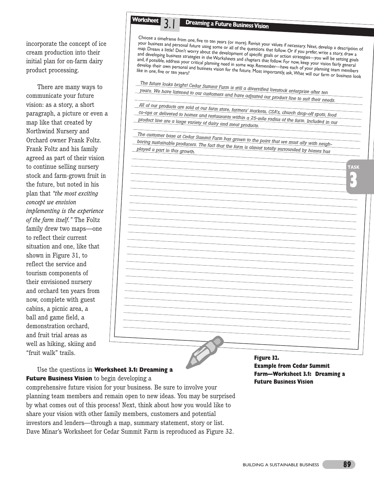incorporate the concept of ice cream production into their initial plan for on-farm dairy product processing.

There are many ways to communicate your future vision: as a story, a short paragraph, a picture or even a map like that created by Northwind Nursery and Orchard owner Frank Foltz. Frank Foltz and his family agreed as part of their vision to continue selling nursery stock and farm-grown fruit in the future, but noted in his plan that *"the most exciting concept we envision implementing is the experience of the farm itself."* The Foltz family drew two maps—one to reflect their current situation and one, like that shown in Figure 31, to reflect the service and tourism components of their envisioned nursery and orchard ten years from now, complete with guest cabins, a picnic area, a ball and game field, a demonstration orchard, and fruit trial areas as well as hiking, skiing and "fruit walk" trails.

**Worksheet** 3.1

**Dreaming a Future Business Vision** 

Choose <sup>a</sup> timeframe from one, five to ten years (or more). Revisit your values if necessary. Next, develop <sup>a</sup> description of your business and personal future using some or all of the questions that follow. Or if you prefer, write <sup>a</sup> story, draw <sup>a</sup> map. Dream a little! Don't worry about the development of specific goals or action strategies—you will be setting goals and developing business strategies in the Worksheets and chapters that follow. For now, keep your vision fairly general and, if possible, address your critical planning need in some way. Remember—have each of your planning team members and, if possible, address your critical planning need in some way. Remember—have each of your planning tea develop their own personal and business vision for the future. Most importantly, ask, What will our farm or business like<br>like in one, five or ten years?<br>like in one, five or ten years?

*The future looks bright! Cedar Summit Farm is still <sup>a</sup> diversified livestock enterprise after ten years. We have listened to our customers and have adjusted our product line to suit their needs.*

*All of our products are sold at our farm store, farmers' markets, CSA's, church drop-off spots, food co-ops or delivered to homes and restaurants within <sup>a</sup> 25-mile radius of the farm. Included in our product line are <sup>a</sup> large variety of dairy and meat products.*

*The customer base at Cedar Summit Farm has grown to the point that we must ally with neigh*boring sustainable producers. The fact that the farm is almost totally surrounded by homes has<br>played a part in this growth.

Use the questions in **Worksheet 3.1: Dreaming a Future Business Vision** to begin developing a comprehensive future vision for your business. Be sure to involve your planning team members and remain open to new ideas. You may be surprised by what comes out of this process! Next, think about how you would like to

share your vision with other family members, customers and potential investors and lenders—through a map, summary statement, story or list. Dave Minar's Worksheet for Cedar Summit Farm is reproduced as Figure 32. **Figure 32. Example from Cedar Summit Farm—Worksheet 3.1: Dreaming a Future Business Vision**

**3**

**TASK**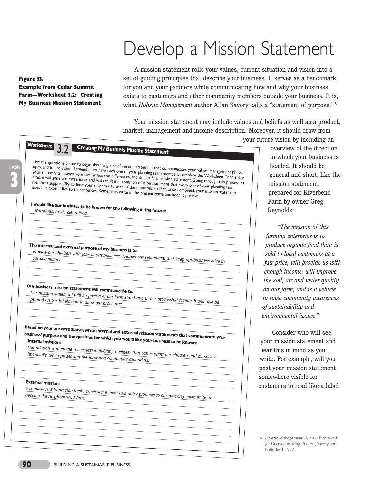### Develop a Mission Statement

#### **Figure 33. Example from Cedar Summit Farm—Worksheet 3.2: Creating My Business Mission Statement**

A mission statement rolls your values, current situation and vision into a set of guiding principles that describe your business. It serves as a benchmark for you and your partners while communicating how and why your business exists to customers and other community members outside your business. It is, what *Holistic Management* author Allan Savory calls a "statement of purpose." <sup>6</sup>

Your mission statement may include values and beliefs as well as a product, market, management and income description. Moreover, it should draw from your future vision by including an

|                                                           | <b>Creating My Business Mission Statement</b>                                                                                                                                                                                                                                                                                                                                                                                                                                                                                                                                                                                                                                                                                      |
|-----------------------------------------------------------|------------------------------------------------------------------------------------------------------------------------------------------------------------------------------------------------------------------------------------------------------------------------------------------------------------------------------------------------------------------------------------------------------------------------------------------------------------------------------------------------------------------------------------------------------------------------------------------------------------------------------------------------------------------------------------------------------------------------------------|
|                                                           | Use the questions below to begin sketching a brief mission statement that communicates your values, management philos-<br>ophy, and future vision. Remember to have each one of your planning team members complete this Worksheet. Then share<br>your statements, discuss your similarities and differences, and draft a final mission statement. Going through this process as<br>a team will generate more ideas and will result in a common mission statement that every one of your planning team<br>members support. Try to limit your response to each of the questions so that, once combined, your mission statement<br>does not exceed five to six sentences. Remember, write in the present tense and keep it positive. |
| Nutritious, fresh, clean food.                            | I would like our business to be known for the following in the future:                                                                                                                                                                                                                                                                                                                                                                                                                                                                                                                                                                                                                                                             |
|                                                           |                                                                                                                                                                                                                                                                                                                                                                                                                                                                                                                                                                                                                                                                                                                                    |
|                                                           |                                                                                                                                                                                                                                                                                                                                                                                                                                                                                                                                                                                                                                                                                                                                    |
|                                                           | The internal and external purpose of my business is to:                                                                                                                                                                                                                                                                                                                                                                                                                                                                                                                                                                                                                                                                            |
|                                                           | Provide our children with jobs in agribusiness, finance our retirement, and keep agribusiness alive in                                                                                                                                                                                                                                                                                                                                                                                                                                                                                                                                                                                                                             |
|                                                           |                                                                                                                                                                                                                                                                                                                                                                                                                                                                                                                                                                                                                                                                                                                                    |
|                                                           |                                                                                                                                                                                                                                                                                                                                                                                                                                                                                                                                                                                                                                                                                                                                    |
|                                                           |                                                                                                                                                                                                                                                                                                                                                                                                                                                                                                                                                                                                                                                                                                                                    |
|                                                           | Our business mission statement will communicate to:                                                                                                                                                                                                                                                                                                                                                                                                                                                                                                                                                                                                                                                                                |
|                                                           | Our mission statement will be posted at our farm stand and in our processing facility. It will also be<br>printed on our labels and in all of our brochures.                                                                                                                                                                                                                                                                                                                                                                                                                                                                                                                                                                       |
|                                                           | Based on your answers above, write internal and external mission statements that communicate your                                                                                                                                                                                                                                                                                                                                                                                                                                                                                                                                                                                                                                  |
|                                                           | business' purpose and the qualities for which you would like your business to be known:                                                                                                                                                                                                                                                                                                                                                                                                                                                                                                                                                                                                                                            |
|                                                           |                                                                                                                                                                                                                                                                                                                                                                                                                                                                                                                                                                                                                                                                                                                                    |
|                                                           | Our mission is to create a successful, fulfilling business that can support our children and ourselves<br>financially while preserving the land and community around us.                                                                                                                                                                                                                                                                                                                                                                                                                                                                                                                                                           |
|                                                           |                                                                                                                                                                                                                                                                                                                                                                                                                                                                                                                                                                                                                                                                                                                                    |
|                                                           |                                                                                                                                                                                                                                                                                                                                                                                                                                                                                                                                                                                                                                                                                                                                    |
|                                                           |                                                                                                                                                                                                                                                                                                                                                                                                                                                                                                                                                                                                                                                                                                                                    |
|                                                           | Our mission is to provide fresh, wholesome meat and dairy products to our growing community; to                                                                                                                                                                                                                                                                                                                                                                                                                                                                                                                                                                                                                                    |
|                                                           |                                                                                                                                                                                                                                                                                                                                                                                                                                                                                                                                                                                                                                                                                                                                    |
|                                                           |                                                                                                                                                                                                                                                                                                                                                                                                                                                                                                                                                                                                                                                                                                                                    |
|                                                           |                                                                                                                                                                                                                                                                                                                                                                                                                                                                                                                                                                                                                                                                                                                                    |
| <b>External mission:</b><br>become the neighborhood farm. |                                                                                                                                                                                                                                                                                                                                                                                                                                                                                                                                                                                                                                                                                                                                    |

overview of the direction in which your business is headed. It should be general and short, like the mission statement prepared for Riverbend Farm by owner Greg Reynolds:

*"The mission of this farming enterprise is to produce organic food that: is sold to local customers at a fair price; will provide us with enough income; will improve the soil, air and water quality on our farm; and is a vehicle to raise community awareness of sustainability and environmental issues."*

Consider who will see ur mission statement and bear this in mind as you rite. For example, will you st your mission statement mewhere visible for stomers to read like a label

6 *Holistic Management: A New Framework for Decision Making,* 2nd Ed., Savory and Butterfield, 1999.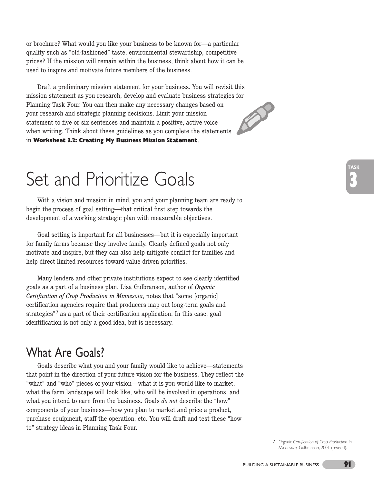or brochure? What would you like your business to be known for—a particular quality such as "old-fashioned" taste, environmental stewardship, competitive prices? If the mission will remain within the business, think about how it can be used to inspire and motivate future members of the business.

Draft a preliminary mission statement for your business. You will revisit this mission statement as you research, develop and evaluate business strategies for Planning Task Four. You can then make any necessary changes based on P your research and strategic planning decisions. Limit your mission statement to five or six sentences and maintain a positive, active voice when writing. Think about these guidelines as you complete the statements in **Worksheet 3.2: Creating My Business Mission Statement**.

### Set and Prioritize Goals

With a vision and mission in mind, you and your planning team are ready to begin the process of goal setting—that critical first step towards the development of a working strategic plan with measurable objectives.

Goal setting is important for all businesses—but it is especially important for family farms because they involve family. Clearly defined goals not only motivate and inspire, but they can also help mitigate conflict for families and help direct limited resources toward value-driven priorities.

Many lenders and other private institutions expect to see clearly identified goals as a part of a business plan. Lisa Gulbranson, author of *Organic Certification of Crop Production in Minnesota*, notes that "some [organic] certification agencies require that producers map out long-term goals and strategies"<sup>7</sup> as a part of their certification application. In this case, goal identification is not only a good idea, but is necessary.

### What Are Goals?

Goals describe what you and your family would like to achieve—statements that point in the direction of your future vision for the business. They reflect the "what" and "who" pieces of your vision—what it is you would like to market, what the farm landscape will look like, who will be involved in operations, and what you intend to earn from the business. Goals *do not* describe the "how" components of your business—how you plan to market and price a product, purchase equipment, staff the operation, etc. You will draft and test these "how to" strategy ideas in Planning Task Four.

> 7 *Organic Certification of Crop Production in Minnesota,* Gulbranson, 2001 (revised).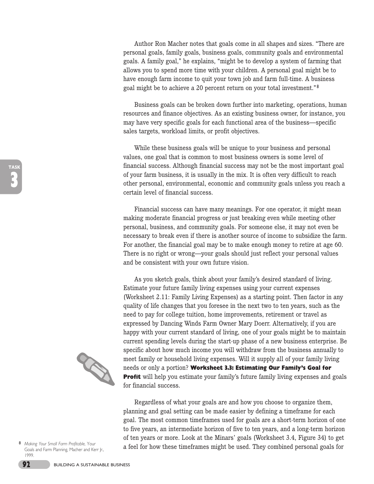Author Ron Macher notes that goals come in all shapes and sizes. "There are personal goals, family goals, business goals, community goals and environmental goals. A family goal," he explains, "might be to develop a system of farming that allows you to spend more time with your children. A personal goal might be to have enough farm income to quit your town job and farm full-time. A business goal might be to achieve a 20 percent return on your total investment." <sup>8</sup>

Business goals can be broken down further into marketing, operations, human resources and finance objectives. As an existing business owner, for instance, you may have very specific goals for each functional area of the business—specific sales targets, workload limits, or profit objectives.

While these business goals will be unique to your business and personal values, one goal that is common to most business owners is some level of financial success. Although financial success may not be the most important goal of your farm business, it is usually in the mix. It is often very difficult to reach other personal, environmental, economic and community goals unless you reach a certain level of financial success.

Financial success can have many meanings. For one operator, it might mean making moderate financial progress or just breaking even while meeting other personal, business, and community goals. For someone else, it may not even be necessary to break even if there is another source of income to subsidize the farm. For another, the financial goal may be to make enough money to retire at age 60. There is no right or wrong—your goals should just reflect your personal values and be consistent with your own future vision.

As you sketch goals, think about your family's desired standard of living. Estimate your future family living expenses using your current expenses (Worksheet 2.11: Family Living Expenses) as a starting point. Then factor in any quality of life changes that you foresee in the next two to ten years, such as the need to pay for college tuition, home improvements, retirement or travel as expressed by Dancing Winds Farm Owner Mary Doerr. Alternatively, if you are happy with your current standard of living, one of your goals might be to maintain current spending levels during the start-up phase of a new business enterprise. Be specific about how much income you will withdraw from the business annually to meet family or household living expenses. Will it supply all of your family living needs or only a portion? **Worksheet 3.3: Estimating Our Family's Goal for Profit** will help you estimate your family's future family living expenses and goals for financial success.

Regardless of what your goals are and how you choose to organize them, planning and goal setting can be made easier by defining a timeframe for each goal. The most common timeframes used for goals are a short-term horizon of one to five years, an intermediate horizon of five to ten years, and a long-term horizon of ten years or more. Look at the Minars' goals (Worksheet 3.4, Figure 34) to get a feel for how these timeframes might be used. They combined personal goals for



**TASK**



8 *Making Your Small Farm Profitable,* Your Goals and Farm Planning, Macher and Kerr Jr., 1999.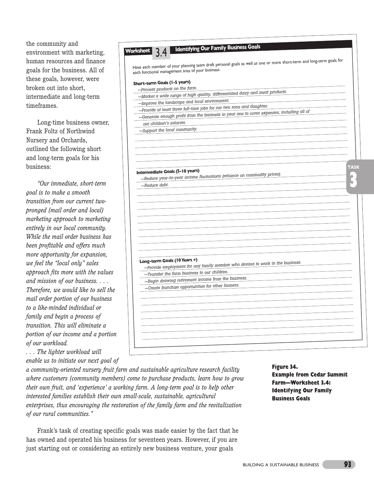the community and environment with marketing, human resources and finance goals for the business. All of these goals, however, were broken out into short, intermediate and long-term timeframes.

Long-time business owner, Frank Foltz of Northwind Nursery and Orchards, outlined the following short and long-term goals for his business:

*"Our immediate, short-term goal is to make a smooth transition from our current twopronged (mail order and local) marketing approach to marketing entirely in our local community. While the mail order business has been profitable and offers much more opportunity for expansion, we feel the "local only" sales approach fits more with the values and mission of our business. . . . Therefore, we would like to sell the mail order portion of our business to a like-minded individual or family and begin a process of transition. This will eliminate a portion of our income and a portion of our workload.*

*. . . The lighter workload will enable us to initiate our next goal of*

**Worksheet** 3.4 Have each member of your <sup>p</sup>lanning team draft persona<sup>l</sup> goals as well as one or more short-term and long-term goals for each functional managemen<sup>t</sup> area of your business. **Identifying Our Family Business Goals Short-term Goals (1-5 years) Intermediate Goals (5-10 years) Long-term Goals (10Years +)** *—Process products on the farm. —Market <sup>a</sup> wide range of high quality, differentiated dairy and meat products. —Improve the landscape and local environment. —Provide at least three full-time jobs for our two sons and daughter. —Generate enough profit from the business in year one to cover expenses, including all of our children's salaries. —Support the local community. —Reduce year-to-year income fluctuations (reliance on commodity prices). —Reduce debt. —Provide employment for any family member who desires to work in the business. —Transfer the farm business to our children. —Begin drawing retirement income from the business. —Create franchise opportunities for other farmers.* **3 TASK**

*a community-oriented nursery fruit farm and sustainable agriculture research facility where customers (community members) come to purchase products, learn how to grow their own fruit, and 'experience' a working farm. A long-term goal is to help other interested families establish their own small-scale, sustainable, agricultural enterprises, thus encouraging the restoration of the family farm and the revitalization of our rural communities."*

Frank's task of creating specific goals was made easier by the fact that he has owned and operated his business for seventeen years. However, if you are just starting out or considering an entirely new business venture, your goals

**Figure 34. Example from Cedar Summit Farm—Worksheet 3.4: Identifying Our Family Business Goals**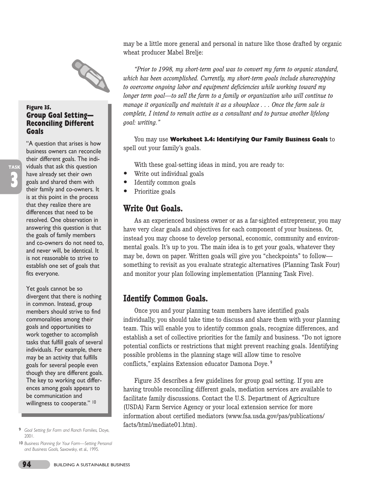

#### **Figure 35. Group Goal Setting— Reconciling Different Goals**

**3 TASK** "A question that arises is how business owners can reconcile their different goals. The individuals that ask this question have already set their own goals and shared them with their family and co-owners. it is at this point in the process that they realize there are differences that need to be resolved. One observation in answering this question is that the goals of family members and co-owners do not need to, and never will, be identical. it is not reasonable to strive to establish one set of goals that fits everyone.

Yet goals cannot be so divergent that there is nothing in common. instead, group members should strive to find commonalities among their goals and opportunities to work together to accomplish tasks that fulfill goals of several individuals. For example, there may be an activity that fulfills goals for several people even though they are different goals. The key to working out differences among goals appears to be communication and willingness to cooperate." 10

10 *Business Planning for Your Farm—Setting Personal and Business Goals,* Saxowsky, et al., 1995.

may be a little more general and personal in nature like those drafted by organic wheat producer Mabel Brelje:

*"Prior to 1998, my short-term goal was to convert my farm to organic standard, which has been accomplished. Currently, my short-term goals include sharecropping to overcome ongoing labor and equipment deficiencies while working toward my longer term goal—to sell the farm to a family or organization who will continue to manage it organically and maintain it as a showplace . . . Once the farm sale is complete, I intend to remain active as a consultant and to pursue another lifelong goal: writing."*

You may use **Worksheet 3.4: Identifying Our Family Business Goals** to spell out your family's goals.

With these goal-setting ideas in mind, you are ready to:

- **•** Write out individual goals
- **•** Identify common goals
- **•** Prioritize goals

#### **Write Out Goals.**

As an experienced business owner or as a far-sighted entrepreneur, you may have very clear goals and objectives for each component of your business. Or, instead you may choose to develop personal, economic, community and environmental goals. It's up to you. The main idea is to get your goals, whatever they may be, down on paper. Written goals will give you "checkpoints" to follow something to revisit as you evaluate strategic alternatives (Planning Task Four) and monitor your plan following implementation (Planning Task Five).

#### **Identify Common Goals.**

Once you and your planning team members have identified goals individually, you should take time to discuss and share them with your planning team. This will enable you to identify common goals, recognize differences, and establish a set of collective priorities for the family and business. "Do not ignore potential conflicts or restrictions that might prevent reaching goals. Identifying possible problems in the planning stage will allow time to resolve conflicts," explains Extension educator Damona Doye. <sup>9</sup>

Figure 35 describes a few guidelines for group goal setting. If you are having trouble reconciling different goals, mediation services are available to facilitate family discussions. Contact the U.S. Department of Agriculture (USDA) Farm Service Agency or your local extension service for more information about certified mediators (www.fsa.usda.gov/pas/publications/ facts/html/mediate01.htm).

<sup>9</sup> *Goal Setting for Farm and Ranch Families,* Doye, 2001.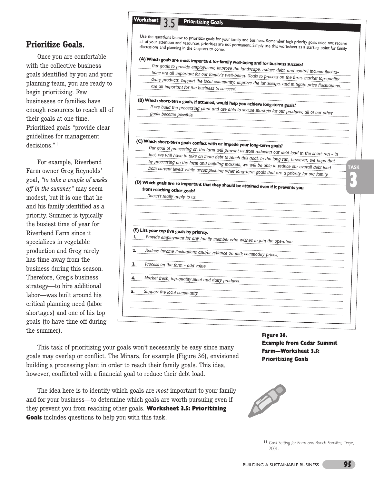#### **Prioritize Goals.**

Once you are comfortable with the collective business goals identified by you and your planning team, you are ready to begin prioritizing. Few businesses or families have enough resources to reach all of their goals at one time. Prioritized goals "provide clear guidelines for management decisions." <sup>11</sup>

For example, Riverbend Farm owner Greg Reynolds' goal, *"to take a couple of weeks off in the summer,"* may seem modest, but it is one that he and his family identified as a priority. Summer is typically the busiest time of year for Riverbend Farm since it specializes in vegetable production and Greg rarely has time away from the business during this season. Therefore, Greg's business strategy—to hire additional labor—was built around his critical planning need (labor shortages) and one of his top goals (to have time off during the summer).

| Our goals to provide employment, improve the landscape, reduce debt, and control income fluctua-<br>tions are all important for our family's well-being. Goals to process on the farm, market top-quality<br>dairy products, support the local community, improve the landscape, and mitigate price fluctuations,<br>are all important for the business to succeed.<br>If we build the processing plant and are able to secure markets for our products, all of our other<br>goals become possible.<br>Our goal of processing on the farm will prevent us from reducing our debt load in the short-run - in<br>fact, we will have to take on more debt to reach this goal. In the long run, however, we hope that<br>by processing on the farm and building markets, we will be able to reduce our overall debt load<br>from current levels while accomplishing other long-term goals that are a priority for our family.<br>Doesn't really apply to us.<br>Provide employment for any family member who wishes to join the operation.<br>Reduce income fluctuations and/or reliance on milk commodity prices.<br>Process on the farm - add value.<br>Market fresh, top-quality meat and dairy products.<br>Support the local community. | Use the questions below to prioritize goals for your family and business. Remember high priority goals need not receive<br>all of your attention and resources; priorities are not permanent. Simply use this worksheet as a starting point for family |
|------------------------------------------------------------------------------------------------------------------------------------------------------------------------------------------------------------------------------------------------------------------------------------------------------------------------------------------------------------------------------------------------------------------------------------------------------------------------------------------------------------------------------------------------------------------------------------------------------------------------------------------------------------------------------------------------------------------------------------------------------------------------------------------------------------------------------------------------------------------------------------------------------------------------------------------------------------------------------------------------------------------------------------------------------------------------------------------------------------------------------------------------------------------------------------------------------------------------------------------|--------------------------------------------------------------------------------------------------------------------------------------------------------------------------------------------------------------------------------------------------------|
| (A) Which goals are most important for family well-being and for business success?<br>from reaching other goals?                                                                                                                                                                                                                                                                                                                                                                                                                                                                                                                                                                                                                                                                                                                                                                                                                                                                                                                                                                                                                                                                                                                         | discussions and planning in the chapters to come.                                                                                                                                                                                                      |
|                                                                                                                                                                                                                                                                                                                                                                                                                                                                                                                                                                                                                                                                                                                                                                                                                                                                                                                                                                                                                                                                                                                                                                                                                                          |                                                                                                                                                                                                                                                        |
| (B) Which short-term goals, if attained, would help you achieve long-term goals?<br>(C) Which short-term goals conflict with or impede your long-term goals?<br>(D) Which goals are so important that they should be attained even if it prevents you<br>(E) List your top five goals by priority.                                                                                                                                                                                                                                                                                                                                                                                                                                                                                                                                                                                                                                                                                                                                                                                                                                                                                                                                       |                                                                                                                                                                                                                                                        |
|                                                                                                                                                                                                                                                                                                                                                                                                                                                                                                                                                                                                                                                                                                                                                                                                                                                                                                                                                                                                                                                                                                                                                                                                                                          |                                                                                                                                                                                                                                                        |
|                                                                                                                                                                                                                                                                                                                                                                                                                                                                                                                                                                                                                                                                                                                                                                                                                                                                                                                                                                                                                                                                                                                                                                                                                                          |                                                                                                                                                                                                                                                        |
|                                                                                                                                                                                                                                                                                                                                                                                                                                                                                                                                                                                                                                                                                                                                                                                                                                                                                                                                                                                                                                                                                                                                                                                                                                          |                                                                                                                                                                                                                                                        |
|                                                                                                                                                                                                                                                                                                                                                                                                                                                                                                                                                                                                                                                                                                                                                                                                                                                                                                                                                                                                                                                                                                                                                                                                                                          |                                                                                                                                                                                                                                                        |
|                                                                                                                                                                                                                                                                                                                                                                                                                                                                                                                                                                                                                                                                                                                                                                                                                                                                                                                                                                                                                                                                                                                                                                                                                                          |                                                                                                                                                                                                                                                        |
|                                                                                                                                                                                                                                                                                                                                                                                                                                                                                                                                                                                                                                                                                                                                                                                                                                                                                                                                                                                                                                                                                                                                                                                                                                          |                                                                                                                                                                                                                                                        |
|                                                                                                                                                                                                                                                                                                                                                                                                                                                                                                                                                                                                                                                                                                                                                                                                                                                                                                                                                                                                                                                                                                                                                                                                                                          |                                                                                                                                                                                                                                                        |
|                                                                                                                                                                                                                                                                                                                                                                                                                                                                                                                                                                                                                                                                                                                                                                                                                                                                                                                                                                                                                                                                                                                                                                                                                                          |                                                                                                                                                                                                                                                        |
|                                                                                                                                                                                                                                                                                                                                                                                                                                                                                                                                                                                                                                                                                                                                                                                                                                                                                                                                                                                                                                                                                                                                                                                                                                          |                                                                                                                                                                                                                                                        |
|                                                                                                                                                                                                                                                                                                                                                                                                                                                                                                                                                                                                                                                                                                                                                                                                                                                                                                                                                                                                                                                                                                                                                                                                                                          |                                                                                                                                                                                                                                                        |
|                                                                                                                                                                                                                                                                                                                                                                                                                                                                                                                                                                                                                                                                                                                                                                                                                                                                                                                                                                                                                                                                                                                                                                                                                                          |                                                                                                                                                                                                                                                        |
|                                                                                                                                                                                                                                                                                                                                                                                                                                                                                                                                                                                                                                                                                                                                                                                                                                                                                                                                                                                                                                                                                                                                                                                                                                          |                                                                                                                                                                                                                                                        |
|                                                                                                                                                                                                                                                                                                                                                                                                                                                                                                                                                                                                                                                                                                                                                                                                                                                                                                                                                                                                                                                                                                                                                                                                                                          |                                                                                                                                                                                                                                                        |
|                                                                                                                                                                                                                                                                                                                                                                                                                                                                                                                                                                                                                                                                                                                                                                                                                                                                                                                                                                                                                                                                                                                                                                                                                                          |                                                                                                                                                                                                                                                        |
|                                                                                                                                                                                                                                                                                                                                                                                                                                                                                                                                                                                                                                                                                                                                                                                                                                                                                                                                                                                                                                                                                                                                                                                                                                          |                                                                                                                                                                                                                                                        |
|                                                                                                                                                                                                                                                                                                                                                                                                                                                                                                                                                                                                                                                                                                                                                                                                                                                                                                                                                                                                                                                                                                                                                                                                                                          |                                                                                                                                                                                                                                                        |
|                                                                                                                                                                                                                                                                                                                                                                                                                                                                                                                                                                                                                                                                                                                                                                                                                                                                                                                                                                                                                                                                                                                                                                                                                                          |                                                                                                                                                                                                                                                        |
|                                                                                                                                                                                                                                                                                                                                                                                                                                                                                                                                                                                                                                                                                                                                                                                                                                                                                                                                                                                                                                                                                                                                                                                                                                          |                                                                                                                                                                                                                                                        |
|                                                                                                                                                                                                                                                                                                                                                                                                                                                                                                                                                                                                                                                                                                                                                                                                                                                                                                                                                                                                                                                                                                                                                                                                                                          |                                                                                                                                                                                                                                                        |
|                                                                                                                                                                                                                                                                                                                                                                                                                                                                                                                                                                                                                                                                                                                                                                                                                                                                                                                                                                                                                                                                                                                                                                                                                                          |                                                                                                                                                                                                                                                        |
|                                                                                                                                                                                                                                                                                                                                                                                                                                                                                                                                                                                                                                                                                                                                                                                                                                                                                                                                                                                                                                                                                                                                                                                                                                          |                                                                                                                                                                                                                                                        |
|                                                                                                                                                                                                                                                                                                                                                                                                                                                                                                                                                                                                                                                                                                                                                                                                                                                                                                                                                                                                                                                                                                                                                                                                                                          |                                                                                                                                                                                                                                                        |
|                                                                                                                                                                                                                                                                                                                                                                                                                                                                                                                                                                                                                                                                                                                                                                                                                                                                                                                                                                                                                                                                                                                                                                                                                                          |                                                                                                                                                                                                                                                        |
|                                                                                                                                                                                                                                                                                                                                                                                                                                                                                                                                                                                                                                                                                                                                                                                                                                                                                                                                                                                                                                                                                                                                                                                                                                          |                                                                                                                                                                                                                                                        |
|                                                                                                                                                                                                                                                                                                                                                                                                                                                                                                                                                                                                                                                                                                                                                                                                                                                                                                                                                                                                                                                                                                                                                                                                                                          |                                                                                                                                                                                                                                                        |
|                                                                                                                                                                                                                                                                                                                                                                                                                                                                                                                                                                                                                                                                                                                                                                                                                                                                                                                                                                                                                                                                                                                                                                                                                                          |                                                                                                                                                                                                                                                        |
|                                                                                                                                                                                                                                                                                                                                                                                                                                                                                                                                                                                                                                                                                                                                                                                                                                                                                                                                                                                                                                                                                                                                                                                                                                          |                                                                                                                                                                                                                                                        |
|                                                                                                                                                                                                                                                                                                                                                                                                                                                                                                                                                                                                                                                                                                                                                                                                                                                                                                                                                                                                                                                                                                                                                                                                                                          |                                                                                                                                                                                                                                                        |
|                                                                                                                                                                                                                                                                                                                                                                                                                                                                                                                                                                                                                                                                                                                                                                                                                                                                                                                                                                                                                                                                                                                                                                                                                                          |                                                                                                                                                                                                                                                        |
|                                                                                                                                                                                                                                                                                                                                                                                                                                                                                                                                                                                                                                                                                                                                                                                                                                                                                                                                                                                                                                                                                                                                                                                                                                          |                                                                                                                                                                                                                                                        |
|                                                                                                                                                                                                                                                                                                                                                                                                                                                                                                                                                                                                                                                                                                                                                                                                                                                                                                                                                                                                                                                                                                                                                                                                                                          |                                                                                                                                                                                                                                                        |

This task of prioritizing your goals won't necessarily be easy since many goals may overlap or conflict. The Minars, for example (Figure 36), envisioned building a processing plant in order to reach their family goals. This idea, however, conflicted with a financial goal to reduce their debt load.

**Worksheet** 3.5

**Prioritizing Goals**

The idea here is to identify which goals are *most* important to your family and for your business—to determine which goals are worth pursuing even if they prevent you from reaching other goals. **Worksheet 3.5: Prioritizing Goals** includes questions to help you with this task.

**Figure 36.**

**Example from Cedar Summit Farm—Worksheet 3.5: Prioritizing Goals**



<sup>11</sup> *Goal Setting for Farm and Ranch Families,* Doye, 2001.